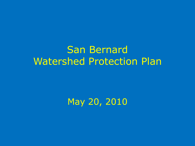#### San Bernard Watershed Protection Plan

#### May 20, 2010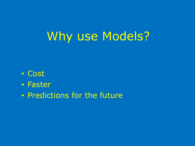## Why use Models?

- Cost
- Faster
- Predictions for the future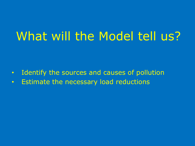## What will the Model tell us?

- Identify the sources and causes of pollution
- Estimate the necessary load reductions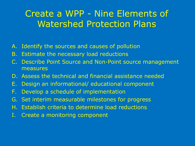#### Create a WPP - Nine Elements of Watershed Protection Plans

- A. Identify the sources and causes of pollution
- B. Estimate the necessary load reductions
- C. Describe Point Source and Non-Point source management measures
- D. Assess the technical and financial assistance needed
- E. Design an informational/ educational component
- F. Develop a schedule of implementation
- G. Set interim measurable milestones for progress
- H. Establish criteria to determine load reductions
- I. Create a monitoring component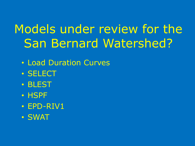# Models under review for the San Bernard Watershed?

- Load Duration Curves
- SELECT
- BLEST
- HSPF
- EPD-RIV1
- SWAT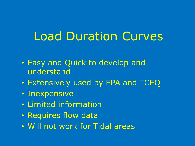## Load Duration Curves

- Easy and Quick to develop and understand
- Extensively used by EPA and TCEQ
- Inexpensive
- Limited information
- Requires flow data
- Will not work for Tidal areas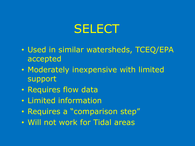## **SELECT**

- Used in similar watersheds, TCEQ/EPA accepted
- Moderately inexpensive with limited support
- Requires flow data
- Limited information
- Requires a "comparison step"
- Will not work for Tidal areas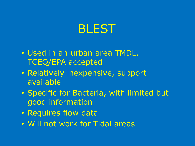#### BLEST

- Used in an urban area TMDL, TCEQ/EPA accepted
- Relatively inexpensive, support available
- Specific for Bacteria, with limited but good information
- Requires flow data
- Will not work for Tidal areas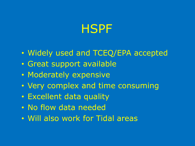### HSPF

- Widely used and TCEQ/EPA accepted
- Great support available
- Moderately expensive
- Very complex and time consuming
- Excellent data quality
- No flow data needed
- Will also work for Tidal areas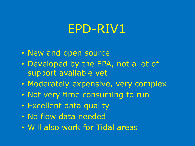#### EPD-RIV1

- New and open source
- Developed by the EPA, not a lot of support available yet
- Moderately expensive, very complex
- Not very time consuming to run
- Excellent data quality
- No flow data needed
- Will also work for Tidal areas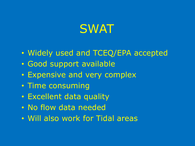## **SWAT**

- Widely used and TCEQ/EPA accepted
- Good support available
- Expensive and very complex
- Time consuming
- Excellent data quality
- No flow data needed
- Will also work for Tidal areas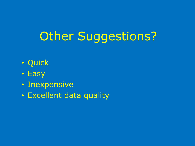# Other Suggestions?

- Quick
- Easy
- Inexpensive
- Excellent data quality